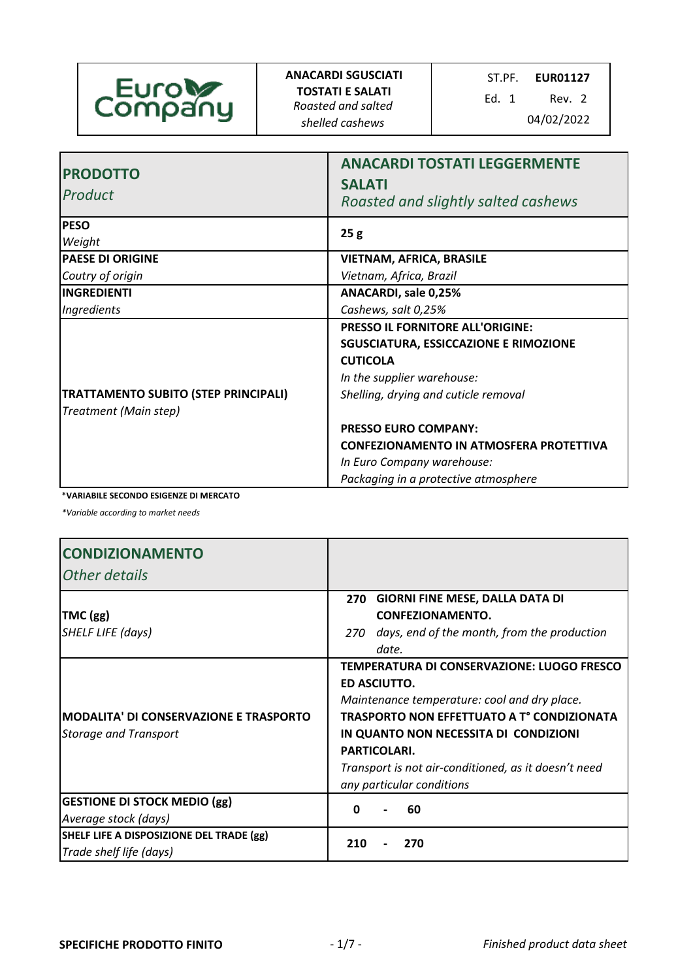

**ANACARDI SGUSCIATI TOSTATI E SALATI** *Roasted and salted shelled cashews* 04/02/2022

ST.PF. **EUR01127**

Ed. 1 Rev. 2

| <b>PRODOTTO</b><br>Product                                           | <b>ANACARDI TOSTATI LEGGERMENTE</b><br><b>SALATI</b><br>Roasted and slightly salted cashews                                                                                                                                                                                                                                             |
|----------------------------------------------------------------------|-----------------------------------------------------------------------------------------------------------------------------------------------------------------------------------------------------------------------------------------------------------------------------------------------------------------------------------------|
| <b>PESO</b><br>Weight                                                | 25g                                                                                                                                                                                                                                                                                                                                     |
| <b>PAESE DI ORIGINE</b>                                              | <b>VIETNAM, AFRICA, BRASILE</b>                                                                                                                                                                                                                                                                                                         |
| Coutry of origin                                                     | Vietnam, Africa, Brazil                                                                                                                                                                                                                                                                                                                 |
| <b>INGREDIENTI</b>                                                   | ANACARDI, sale 0,25%                                                                                                                                                                                                                                                                                                                    |
| Ingredients                                                          | Cashews, salt 0,25%                                                                                                                                                                                                                                                                                                                     |
| <b>TRATTAMENTO SUBITO (STEP PRINCIPALI)</b><br>Treatment (Main step) | <b>PRESSO IL FORNITORE ALL'ORIGINE:</b><br><b>SGUSCIATURA, ESSICCAZIONE E RIMOZIONE</b><br><b>CUTICOLA</b><br>In the supplier warehouse:<br>Shelling, drying and cuticle removal<br><b>PRESSO EURO COMPANY:</b><br><b>CONFEZIONAMENTO IN ATMOSFERA PROTETTIVA</b><br>In Euro Company warehouse:<br>Packaging in a protective atmosphere |

\***VARIABILE SECONDO ESIGENZE DI MERCATO**

*\*Variable according to market needs*

| <b>CONDIZIONAMENTO</b><br><b>Other details</b>                                |                                                                                                                                                                                                                                                                                                                      |
|-------------------------------------------------------------------------------|----------------------------------------------------------------------------------------------------------------------------------------------------------------------------------------------------------------------------------------------------------------------------------------------------------------------|
| $TMC$ (gg)<br><b>SHELF LIFE (days)</b>                                        | 270 GIORNI FINE MESE, DALLA DATA DI<br><b>CONFEZIONAMENTO.</b><br>days, end of the month, from the production<br>270<br>date.                                                                                                                                                                                        |
| <b>MODALITA' DI CONSERVAZIONE E TRASPORTO</b><br><b>Storage and Transport</b> | TEMPERATURA DI CONSERVAZIONE: LUOGO FRESCO<br>ED ASCIUTTO.<br>Maintenance temperature: cool and dry place.<br><b>TRASPORTO NON EFFETTUATO A T° CONDIZIONATA</b><br>IN QUANTO NON NECESSITA DI CONDIZIONI<br><b>PARTICOLARI.</b><br>Transport is not air-conditioned, as it doesn't need<br>any particular conditions |
| <b>GESTIONE DI STOCK MEDIO (gg)</b><br>Average stock (days)                   | 60<br>ŋ                                                                                                                                                                                                                                                                                                              |
| SHELF LIFE A DISPOSIZIONE DEL TRADE (gg)<br>Trade shelf life (days)           | 210<br>270                                                                                                                                                                                                                                                                                                           |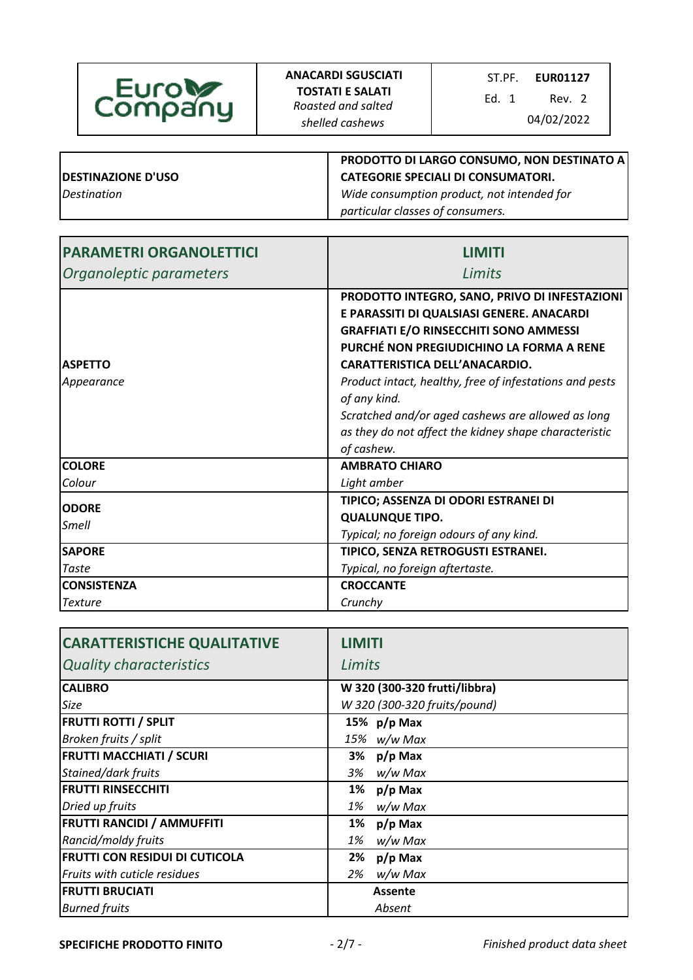

Ed. 1 Rev. 2

|                                  | PRODOTTO DI LARGO CONSUMO, NON DESTINATO A |
|----------------------------------|--------------------------------------------|
| <b>DESTINAZIONE D'USO</b>        | <b>CATEGORIE SPECIALI DI CONSUMATORI.</b>  |
| <i><u><b>Destination</b></u></i> | Wide consumption product, not intended for |
|                                  | particular classes of consumers.           |

| <b>PARAMETRI ORGANOLETTICI</b> | <b>LIMITI</b>                                                                                                                               |
|--------------------------------|---------------------------------------------------------------------------------------------------------------------------------------------|
| Organoleptic parameters        | Limits                                                                                                                                      |
|                                | PRODOTTO INTEGRO, SANO, PRIVO DI INFESTAZIONI<br>E PARASSITI DI QUALSIASI GENERE. ANACARDI<br><b>GRAFFIATI E/O RINSECCHITI SONO AMMESSI</b> |
| <b>ASPETTO</b>                 | PURCHÉ NON PREGIUDICHINO LA FORMA A RENE<br>CARATTERISTICA DELL'ANACARDIO.                                                                  |
| Appearance                     | Product intact, healthy, free of infestations and pests<br>of any kind.                                                                     |
|                                | Scratched and/or aged cashews are allowed as long<br>as they do not affect the kidney shape characteristic<br>of cashew.                    |
| <b>COLORE</b>                  | <b>AMBRATO CHIARO</b>                                                                                                                       |
| Colour                         | Light amber                                                                                                                                 |
| <b>ODORE</b><br><b>Smell</b>   | TIPICO; ASSENZA DI ODORI ESTRANEI DI<br><b>QUALUNQUE TIPO.</b><br>Typical; no foreign odours of any kind.                                   |
| <b>SAPORE</b>                  | TIPICO, SENZA RETROGUSTI ESTRANEI.                                                                                                          |
| Taste                          | Typical, no foreign aftertaste.                                                                                                             |
| <b>CONSISTENZA</b>             | <b>CROCCANTE</b>                                                                                                                            |
| <b>Texture</b>                 | Crunchy                                                                                                                                     |

| <b>CARATTERISTICHE QUALITATIVE</b>    | <b>LIMITI</b>                 |
|---------------------------------------|-------------------------------|
| <b>Quality characteristics</b>        | Limits                        |
| <b>CALIBRO</b>                        | W 320 (300-320 frutti/libbra) |
| Size                                  | W 320 (300-320 fruits/pound)  |
| <b>FRUTTI ROTTI / SPLIT</b>           | 15% $p/p$ Max                 |
| Broken fruits / split                 | 15% w/w Max                   |
| <b>FRUTTI MACCHIATI / SCURI</b>       | 3%<br>$p/p$ Max               |
| Stained/dark fruits                   | 3%<br>w/w Max                 |
| <b>FRUTTI RINSECCHITI</b>             | 1%<br>$p/p$ Max               |
| Dried up fruits                       | w/w Max<br>1%                 |
| <b>FRUTTI RANCIDI / AMMUFFITI</b>     | 1%<br>$p/p$ Max               |
| Rancid/moldy fruits                   | 1%<br>w/w Max                 |
| <b>FRUTTI CON RESIDUI DI CUTICOLA</b> | $p/p$ Max<br>2%               |
| Fruits with cuticle residues          | w/w Max<br>2%                 |
| <b>FRUTTI BRUCIATI</b>                | <b>Assente</b>                |
| <b>Burned fruits</b>                  | Absent                        |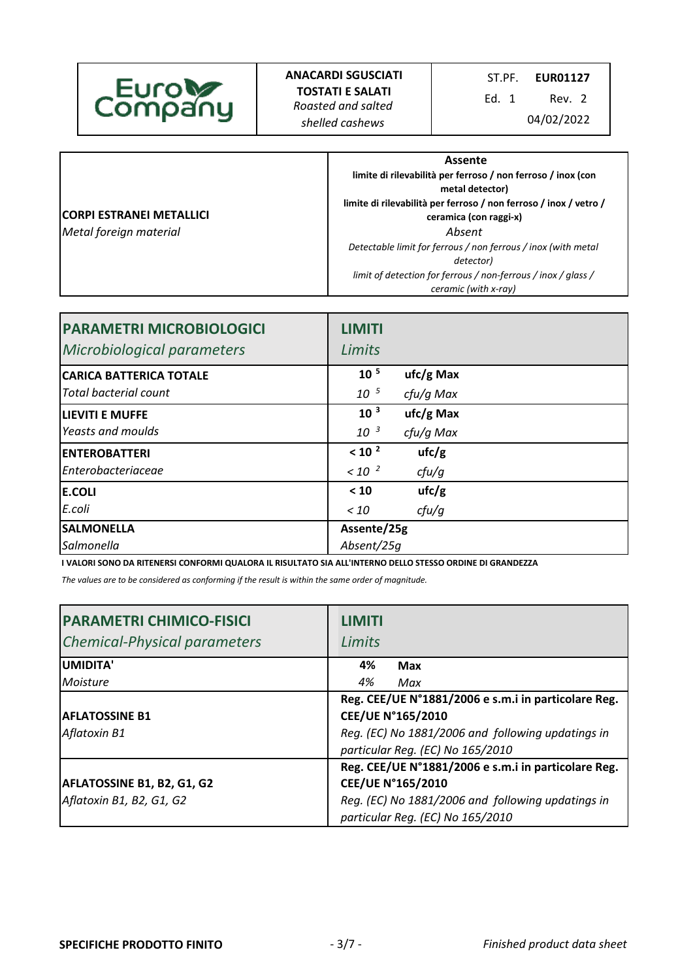Ed. 1 Rev. 2

|                          | Assente                                                                               |
|--------------------------|---------------------------------------------------------------------------------------|
|                          | limite di rilevabilità per ferroso / non ferroso / inox (con                          |
|                          | metal detector)                                                                       |
|                          | limite di rilevabilità per ferroso / non ferroso / inox / vetro /                     |
| CORPI ESTRANEI METALLICI | ceramica (con raggi-x)                                                                |
| Metal foreign material   | Absent                                                                                |
|                          | Detectable limit for ferrous / non ferrous / inox (with metal<br>detector)            |
|                          | limit of detection for ferrous / non-ferrous / inox / glass /<br>ceramic (with x-ray) |

| <b>PARAMETRI MICROBIOLOGICI</b><br>Microbiological parameters | <b>LIMITI</b><br>Limits |             |  |
|---------------------------------------------------------------|-------------------------|-------------|--|
| <b>CARICA BATTERICA TOTALE</b>                                | 10 <sup>5</sup>         | $ufc/g$ Max |  |
| <b>Total bacterial count</b>                                  | 10 <sup>5</sup>         | cfu/g Max   |  |
| <b>LIEVITI E MUFFE</b>                                        | 10 <sup>3</sup>         | $ufc/g$ Max |  |
| Yeasts and moulds                                             | $10^{-3}$               | cfu/g Max   |  |
| <b>ENTEROBATTERI</b>                                          | < 10 <sup>2</sup>       | ufc/g       |  |
| Enterobacteriaceae                                            | $< 10^{-2}$             | cfu/g       |  |
| <b>E.COLI</b>                                                 | < 10                    | ufc/g       |  |
| E.coli                                                        | < 10                    | cfu/g       |  |
| <b>SALMONELLA</b>                                             | Assente/25g             |             |  |
| Salmonella                                                    | Absent/25q              |             |  |

**I VALORI SONO DA RITENERSI CONFORMI QUALORA IL RISULTATO SIA ALL'INTERNO DELLO STESSO ORDINE DI GRANDEZZA**

*The values are to be considered as conforming if the result is within the same order of magnitude.* 

| <b>PARAMETRI CHIMICO-FISICI</b><br><b>Chemical-Physical parameters</b> | <b>LIMITI</b><br>Limits                             |
|------------------------------------------------------------------------|-----------------------------------------------------|
| <b>UMIDITA'</b>                                                        | 4%<br>Max                                           |
| Moisture                                                               | 4%<br>Max                                           |
|                                                                        | Reg. CEE/UE N°1881/2006 e s.m.i in particolare Reg. |
| <b>IAFLATOSSINE B1</b>                                                 | CEE/UE N°165/2010                                   |
| Aflatoxin B1                                                           | Reg. (EC) No 1881/2006 and following updatings in   |
|                                                                        | particular Reg. (EC) No 165/2010                    |
|                                                                        | Reg. CEE/UE N°1881/2006 e s.m.i in particolare Reg. |
| <b>AFLATOSSINE B1, B2, G1, G2</b>                                      | CEE/UE N°165/2010                                   |
| Aflatoxin B1, B2, G1, G2                                               | Reg. (EC) No 1881/2006 and following updatings in   |
|                                                                        | particular Reg. (EC) No 165/2010                    |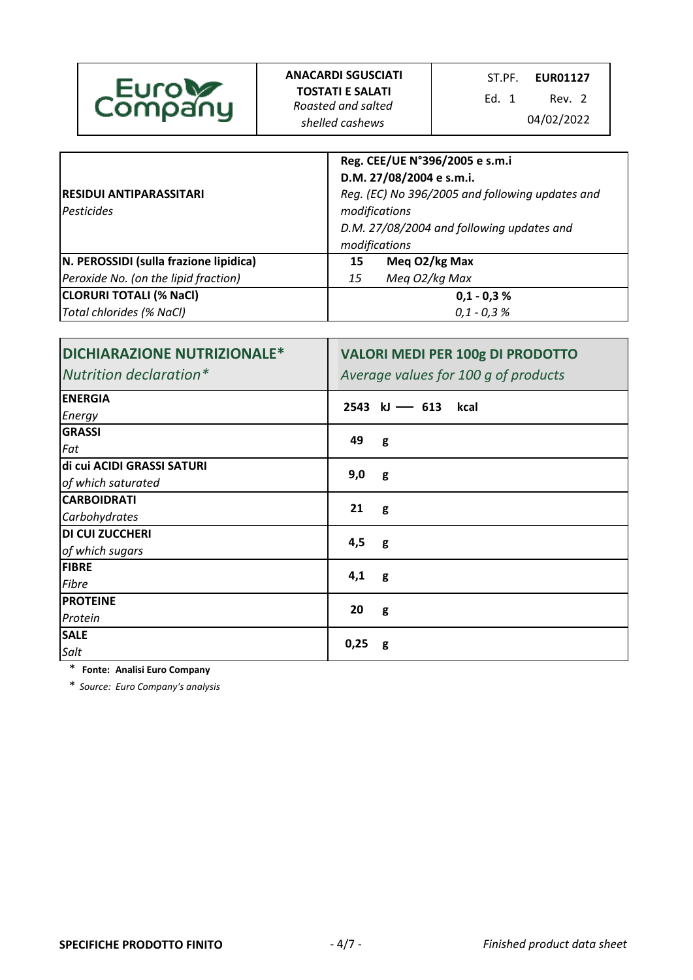| <b>Euroly</b><br><b>TOSTATI E SALATI</b><br>Fd. 1<br>Rev. 2<br>Company<br>Roasted and salted<br>04/02/2022<br>shelled cashews |
|-------------------------------------------------------------------------------------------------------------------------------|
|-------------------------------------------------------------------------------------------------------------------------------|

| <b>RESIDUI ANTIPARASSITARI</b><br><i><u><b>IPesticides</b></u></i> | Reg. CEE/UE N°396/2005 e s.m.i<br>D.M. 27/08/2004 e s.m.i.<br>Reg. (EC) No 396/2005 and following updates and<br>modifications<br>D.M. 27/08/2004 and following updates and |  |
|--------------------------------------------------------------------|-----------------------------------------------------------------------------------------------------------------------------------------------------------------------------|--|
|                                                                    | modifications                                                                                                                                                               |  |
| N. PEROSSIDI (sulla frazione lipidica)                             | Meg O2/kg Max<br>15                                                                                                                                                         |  |
| Peroxide No. (on the lipid fraction)                               | Meg O2/kg Max<br>15                                                                                                                                                         |  |
| <b>CLORURI TOTALI (% NaCl)</b>                                     | $0,1 - 0,3 %$                                                                                                                                                               |  |
| Total chlorides (% NaCl)                                           | $0,1 - 0,3%$                                                                                                                                                                |  |

| <b>DICHIARAZIONE NUTRIZIONALE*</b><br>Nutrition declaration* | <b>VALORI MEDI PER 100g DI PRODOTTO</b><br>Average values for 100 g of products |
|--------------------------------------------------------------|---------------------------------------------------------------------------------|
| <b>ENERGIA</b>                                               | $2543$ kJ - 613<br>kcal                                                         |
| Energy                                                       |                                                                                 |
| <b>GRASSI</b>                                                | 49                                                                              |
| Fat                                                          | g                                                                               |
| di cui ACIDI GRASSI SATURI                                   | 9,0                                                                             |
| of which saturated                                           | g                                                                               |
| <b>CARBOIDRATI</b>                                           | 21                                                                              |
| Carbohydrates                                                | g                                                                               |
| <b>DI CUI ZUCCHERI</b>                                       |                                                                                 |
| of which sugars                                              | 4,5<br>g                                                                        |
| <b>FIBRE</b>                                                 |                                                                                 |
| Fibre                                                        | 4,1<br>g                                                                        |
| <b>PROTEINE</b>                                              |                                                                                 |
| Protein                                                      | 20<br>g                                                                         |
| <b>SALE</b>                                                  |                                                                                 |
| Salt                                                         | 0,25<br>g                                                                       |

\* **Fonte: Analisi Euro Company**

\* *Source: Euro Company's analysis*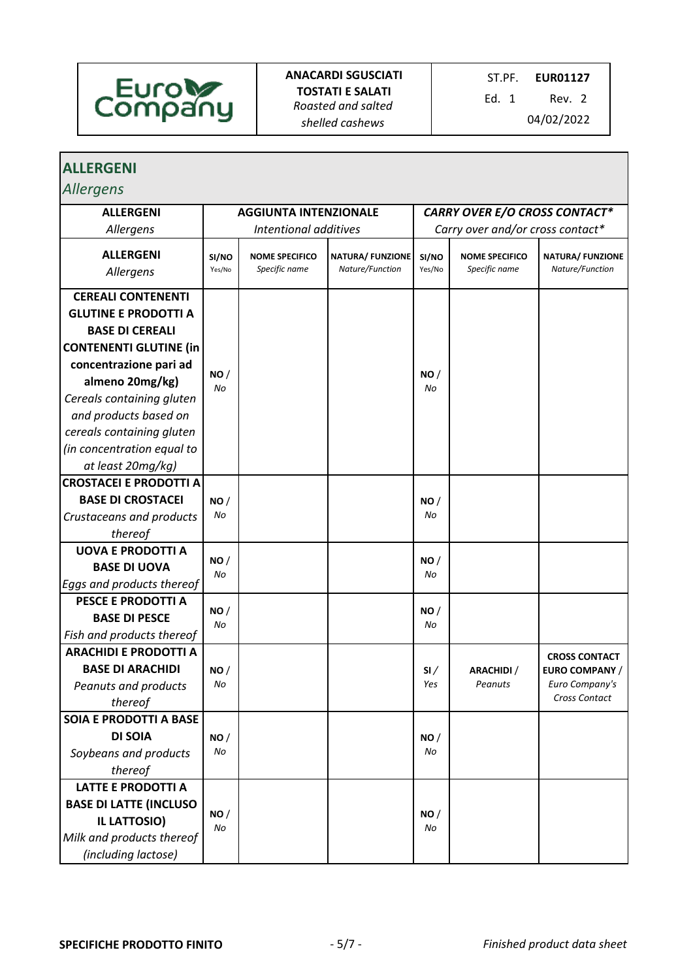

Ed. 1 Rev. 2

| <b>ALLERGENI</b>                                                                                                                                                  |                              |                                        |                                            |                                      |                                        |                                                                                  |
|-------------------------------------------------------------------------------------------------------------------------------------------------------------------|------------------------------|----------------------------------------|--------------------------------------------|--------------------------------------|----------------------------------------|----------------------------------------------------------------------------------|
| <b>Allergens</b>                                                                                                                                                  |                              |                                        |                                            |                                      |                                        |                                                                                  |
| <b>ALLERGENI</b>                                                                                                                                                  | <b>AGGIUNTA INTENZIONALE</b> |                                        |                                            | <b>CARRY OVER E/O CROSS CONTACT*</b> |                                        |                                                                                  |
| Allergens                                                                                                                                                         |                              | Intentional additives                  | Carry over and/or cross contact*           |                                      |                                        |                                                                                  |
| <b>ALLERGENI</b><br>Allergens                                                                                                                                     | SI/NO<br>Yes/No              | <b>NOME SPECIFICO</b><br>Specific name | <b>NATURA/ FUNZIONE</b><br>Nature/Function | SI/NO<br>Yes/No                      | <b>NOME SPECIFICO</b><br>Specific name | <b>NATURA/ FUNZIONE</b><br>Nature/Function                                       |
| <b>CEREALI CONTENENTI</b>                                                                                                                                         |                              |                                        |                                            |                                      |                                        |                                                                                  |
| <b>GLUTINE E PRODOTTI A</b><br><b>BASE DI CEREALI</b><br><b>CONTENENTI GLUTINE (in)</b><br>concentrazione pari ad<br>almeno 20mg/kg)<br>Cereals containing gluten | NO/<br>No                    |                                        |                                            | NO/<br>No                            |                                        |                                                                                  |
| and products based on<br>cereals containing gluten<br>(in concentration equal to<br>at least 20mg/kg)                                                             |                              |                                        |                                            |                                      |                                        |                                                                                  |
| <b>CROSTACEI E PRODOTTI A</b><br><b>BASE DI CROSTACEI</b><br>Crustaceans and products<br>thereof                                                                  | NO/<br>No                    |                                        |                                            | NO/<br>No                            |                                        |                                                                                  |
| <b>UOVA E PRODOTTI A</b><br><b>BASE DI UOVA</b><br>Eggs and products thereof                                                                                      | NO/<br>No                    |                                        |                                            | NO/<br>No                            |                                        |                                                                                  |
| PESCE E PRODOTTI A<br><b>BASE DI PESCE</b><br>Fish and products thereof                                                                                           | NO/<br>No                    |                                        |                                            | NO/<br>No                            |                                        |                                                                                  |
| <b>ARACHIDI E PRODOTTI A</b><br><b>BASE DI ARACHIDI</b><br>Peanuts and products<br>thereof                                                                        | NO/<br>No                    |                                        |                                            | SI/<br>Yes                           | <b>ARACHIDI</b> /<br>Peanuts           | <b>CROSS CONTACT</b><br><b>EURO COMPANY /</b><br>Euro Company's<br>Cross Contact |
| <b>SOIA E PRODOTTI A BASE</b><br><b>DI SOIA</b><br>Soybeans and products<br>thereof                                                                               | NO/<br>No                    |                                        |                                            | NO/<br>No                            |                                        |                                                                                  |
| <b>LATTE E PRODOTTI A</b><br><b>BASE DI LATTE (INCLUSO</b><br><b>IL LATTOSIO)</b><br>Milk and products thereof<br>(including lactose)                             | NO/<br>No                    |                                        |                                            | NO/<br>No                            |                                        |                                                                                  |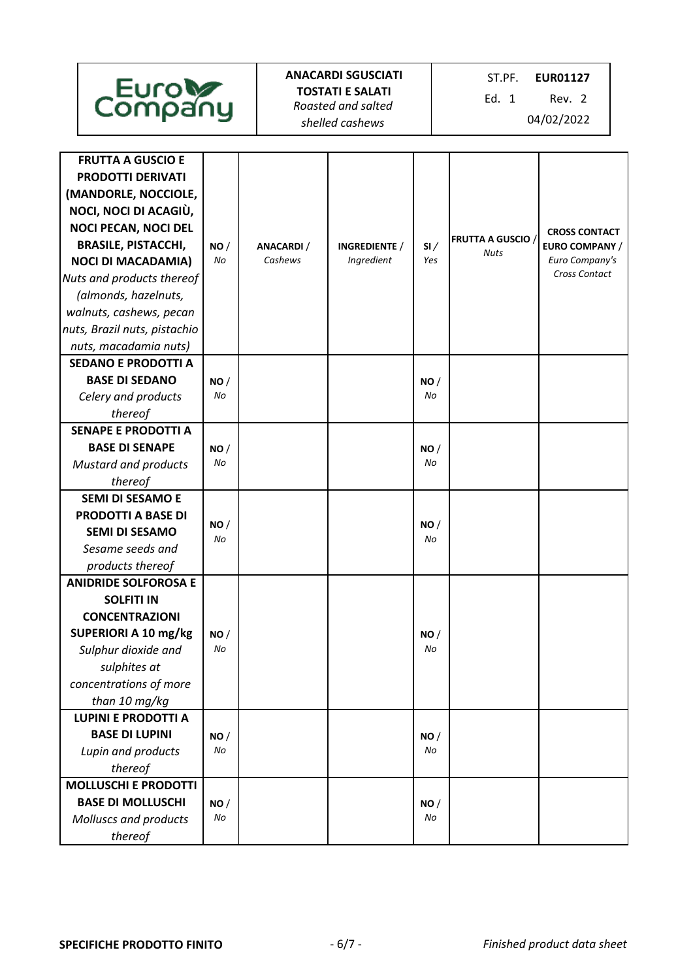| Euroles<br>Company                                                                                                                                                                                                                                                                                                                       |           |                       | <b>ANACARDI SGUSCIATI</b><br><b>TOSTATI E SALATI</b><br>Roasted and salted<br>shelled cashews |            | ST.PF.<br><b>EUR01127</b><br>Ed. 1<br>Rev. 2<br>04/02/2022 |                                                                           |  |
|------------------------------------------------------------------------------------------------------------------------------------------------------------------------------------------------------------------------------------------------------------------------------------------------------------------------------------------|-----------|-----------------------|-----------------------------------------------------------------------------------------------|------------|------------------------------------------------------------|---------------------------------------------------------------------------|--|
| <b>FRUTTA A GUSCIO E</b><br><b>PRODOTTI DERIVATI</b><br>(MANDORLE, NOCCIOLE,<br>NOCI, NOCI DI ACAGIÙ,<br><b>NOCI PECAN, NOCI DEL</b><br><b>BRASILE, PISTACCHI,</b><br><b>NOCI DI MACADAMIA)</b><br>Nuts and products thereof<br>(almonds, hazelnuts,<br>walnuts, cashews, pecan<br>nuts, Brazil nuts, pistachio<br>nuts, macadamia nuts) | NO/<br>No | ANACARDI /<br>Cashews | INGREDIENTE /<br>Ingredient                                                                   | SI/<br>Yes | <b>FRUTTA A GUSCIO /</b><br><b>Nuts</b>                    | <b>CROSS CONTACT</b><br>EURO COMPANY /<br>Euro Company's<br>Cross Contact |  |
| <b>SEDANO E PRODOTTI A</b><br><b>BASE DI SEDANO</b><br>Celery and products<br>thereof                                                                                                                                                                                                                                                    | NO/<br>No |                       |                                                                                               | NO/<br>No  |                                                            |                                                                           |  |
| <b>SENAPE E PRODOTTI A</b><br><b>BASE DI SENAPE</b><br><b>Mustard and products</b><br>thereof                                                                                                                                                                                                                                            | NO/<br>No |                       |                                                                                               | NO/<br>No  |                                                            |                                                                           |  |
| <b>SEMI DI SESAMO E</b><br><b>PRODOTTI A BASE DI</b><br><b>SEMI DI SESAMO</b><br>Sesame seeds and<br>products thereof                                                                                                                                                                                                                    | NO/<br>No |                       |                                                                                               | NO/<br>No  |                                                            |                                                                           |  |
| <b>ANIDRIDE SOLFOROSA E</b><br><b>SOLFITI IN</b><br><b>CONCENTRAZIONI</b><br>SUPERIORI A 10 mg/kg<br>Sulphur dioxide and<br>sulphites at<br>concentrations of more<br>than 10 mg/kg                                                                                                                                                      | NO/<br>No |                       |                                                                                               | NO/<br>No  |                                                            |                                                                           |  |
| <b>LUPINI E PRODOTTI A</b><br><b>BASE DI LUPINI</b><br>Lupin and products<br>thereof                                                                                                                                                                                                                                                     | NO/<br>No |                       |                                                                                               | NO/<br>No  |                                                            |                                                                           |  |
| <b>MOLLUSCHI E PRODOTTI</b><br><b>BASE DI MOLLUSCHI</b><br><b>Molluscs and products</b><br>thereof                                                                                                                                                                                                                                       | NO/<br>No |                       |                                                                                               | NO/<br>No  |                                                            |                                                                           |  |